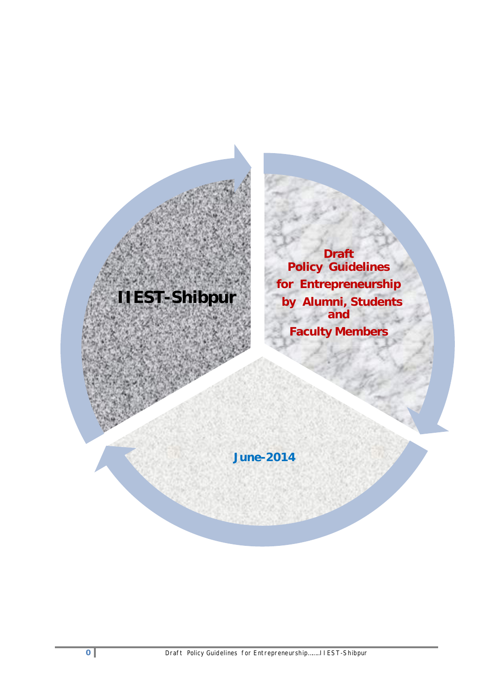# **IIEST-Shibpur**

**Draft Policy Guidelines** for Entrepreneurship by Alumni, Students<br>and **Faculty Members** 

**June-2014**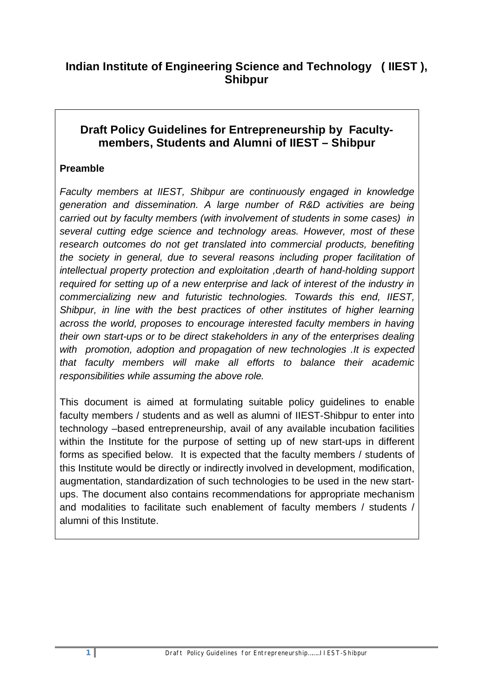## **Draft Policy Guidelines for Entrepreneurship by Facultymembers, Students and Alumni of IIEST – Shibpur**

#### **Preamble**

*Faculty members at IIEST, Shibpur are continuously engaged in knowledge generation and dissemination. A large number of R&D activities are being carried out by faculty members (with involvement of students in some cases) in several cutting edge science and technology areas. However, most of these research outcomes do not get translated into commercial products, benefiting the society in general, due to several reasons including proper facilitation of intellectual property protection and exploitation ,dearth of hand-holding support required for setting up of a new enterprise and lack of interest of the industry in commercializing new and futuristic technologies. Towards this end, IIEST, Shibpur, in line with the best practices of other institutes of higher learning across the world, proposes to encourage interested faculty members in having their own start-ups or to be direct stakeholders in any of the enterprises dealing with promotion, adoption and propagation of new technologies .It is expected that faculty members will make all efforts to balance their academic responsibilities while assuming the above role.* 

This document is aimed at formulating suitable policy guidelines to enable faculty members / students and as well as alumni of IIEST-Shibpur to enter into technology –based entrepreneurship, avail of any available incubation facilities within the Institute for the purpose of setting up of new start-ups in different forms as specified below. It is expected that the faculty members / students of this Institute would be directly or indirectly involved in development, modification, augmentation, standardization of such technologies to be used in the new startups. The document also contains recommendations for appropriate mechanism and modalities to facilitate such enablement of faculty members / students / alumni of this Institute.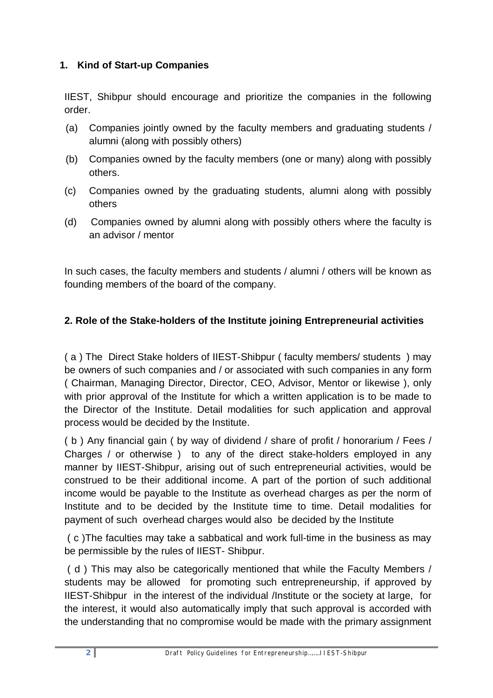#### **1. Kind of Start-up Companies**

IIEST, Shibpur should encourage and prioritize the companies in the following order.

- (a) Companies jointly owned by the faculty members and graduating students / alumni (along with possibly others)
- (b) Companies owned by the faculty members (one or many) along with possibly others.
- (c) Companies owned by the graduating students, alumni along with possibly others
- (d) Companies owned by alumni along with possibly others where the faculty is an advisor / mentor

In such cases, the faculty members and students / alumni / others will be known as founding members of the board of the company.

#### **2. Role of the Stake-holders of the Institute joining Entrepreneurial activities**

( a ) The Direct Stake holders of IIEST-Shibpur ( faculty members/ students ) may be owners of such companies and / or associated with such companies in any form ( Chairman, Managing Director, Director, CEO, Advisor, Mentor or likewise ), only with prior approval of the Institute for which a written application is to be made to the Director of the Institute. Detail modalities for such application and approval process would be decided by the Institute.

( b ) Any financial gain ( by way of dividend / share of profit / honorarium / Fees / Charges / or otherwise ) to any of the direct stake-holders employed in any manner by IIEST-Shibpur, arising out of such entrepreneurial activities, would be construed to be their additional income. A part of the portion of such additional income would be payable to the Institute as overhead charges as per the norm of Institute and to be decided by the Institute time to time. Detail modalities for payment of such overhead charges would also be decided by the Institute

( c )The faculties may take a sabbatical and work full-time in the business as may be permissible by the rules of IIEST- Shibpur.

( d ) This may also be categorically mentioned that while the Faculty Members / students may be allowed for promoting such entrepreneurship, if approved by IIEST-Shibpur in the interest of the individual /Institute or the society at large, for the interest, it would also automatically imply that such approval is accorded with the understanding that no compromise would be made with the primary assignment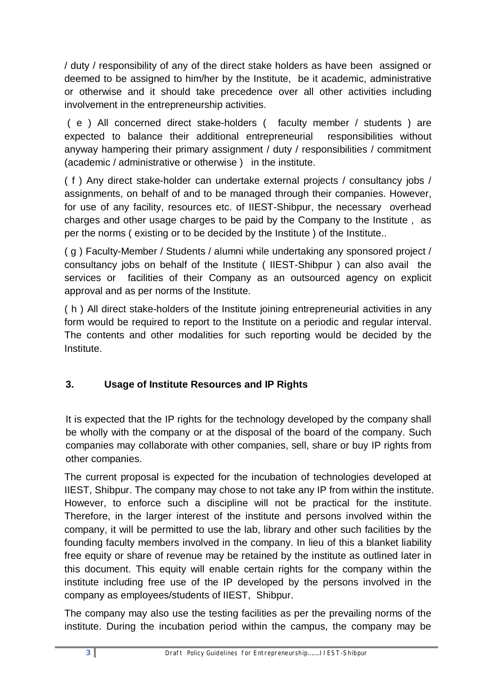/ duty / responsibility of any of the direct stake holders as have been assigned or deemed to be assigned to him/her by the Institute, be it academic, administrative or otherwise and it should take precedence over all other activities including involvement in the entrepreneurship activities.

( e ) All concerned direct stake-holders ( faculty member / students ) are expected to balance their additional entrepreneurial responsibilities without anyway hampering their primary assignment / duty / responsibilities / commitment (academic / administrative or otherwise ) in the institute.

( f ) Any direct stake-holder can undertake external projects / consultancy jobs / assignments, on behalf of and to be managed through their companies. However, for use of any facility, resources etc. of IIEST-Shibpur, the necessary overhead charges and other usage charges to be paid by the Company to the Institute , as per the norms ( existing or to be decided by the Institute ) of the Institute..

( g ) Faculty-Member / Students / alumni while undertaking any sponsored project / consultancy jobs on behalf of the Institute ( IIEST-Shibpur ) can also avail the services or facilities of their Company as an outsourced agency on explicit approval and as per norms of the Institute.

( h ) All direct stake-holders of the Institute joining entrepreneurial activities in any form would be required to report to the Institute on a periodic and regular interval. The contents and other modalities for such reporting would be decided by the Institute.

## **3. Usage of Institute Resources and IP Rights**

It is expected that the IP rights for the technology developed by the company shall be wholly with the company or at the disposal of the board of the company. Such companies may collaborate with other companies, sell, share or buy IP rights from other companies.

The current proposal is expected for the incubation of technologies developed at IIEST, Shibpur. The company may chose to not take any IP from within the institute. However, to enforce such a discipline will not be practical for the institute. Therefore, in the larger interest of the institute and persons involved within the company, it will be permitted to use the lab, library and other such facilities by the founding faculty members involved in the company. In lieu of this a blanket liability free equity or share of revenue may be retained by the institute as outlined later in this document. This equity will enable certain rights for the company within the institute including free use of the IP developed by the persons involved in the company as employees/students of IIEST, Shibpur.

The company may also use the testing facilities as per the prevailing norms of the institute. During the incubation period within the campus, the company may be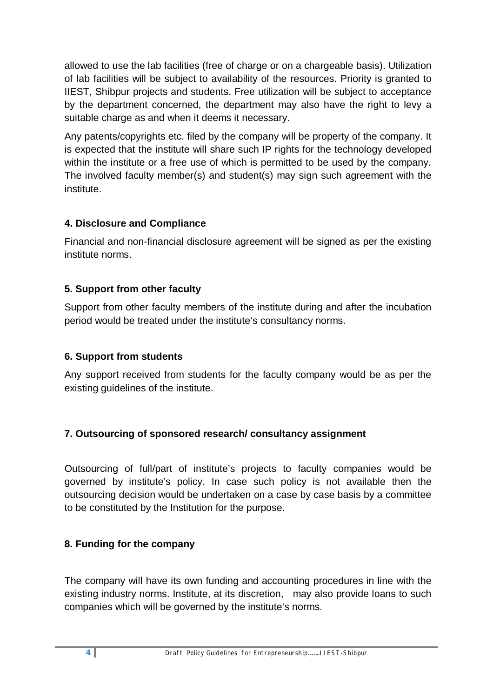allowed to use the lab facilities (free of charge or on a chargeable basis). Utilization of lab facilities will be subject to availability of the resources. Priority is granted to IIEST, Shibpur projects and students. Free utilization will be subject to acceptance by the department concerned, the department may also have the right to levy a suitable charge as and when it deems it necessary.

Any patents/copyrights etc. filed by the company will be property of the company. It is expected that the institute will share such IP rights for the technology developed within the institute or a free use of which is permitted to be used by the company. The involved faculty member(s) and student(s) may sign such agreement with the institute.

#### **4. Disclosure and Compliance**

Financial and non-financial disclosure agreement will be signed as per the existing institute norms.

## **5. Support from other faculty**

Support from other faculty members of the institute during and after the incubation period would be treated under the institute's consultancy norms.

## **6. Support from students**

Any support received from students for the faculty company would be as per the existing guidelines of the institute.

## **7. Outsourcing of sponsored research/ consultancy assignment**

Outsourcing of full/part of institute's projects to faculty companies would be governed by institute's policy. In case such policy is not available then the outsourcing decision would be undertaken on a case by case basis by a committee to be constituted by the Institution for the purpose.

## **8. Funding for the company**

The company will have its own funding and accounting procedures in line with the existing industry norms. Institute, at its discretion, may also provide loans to such companies which will be governed by the institute's norms.